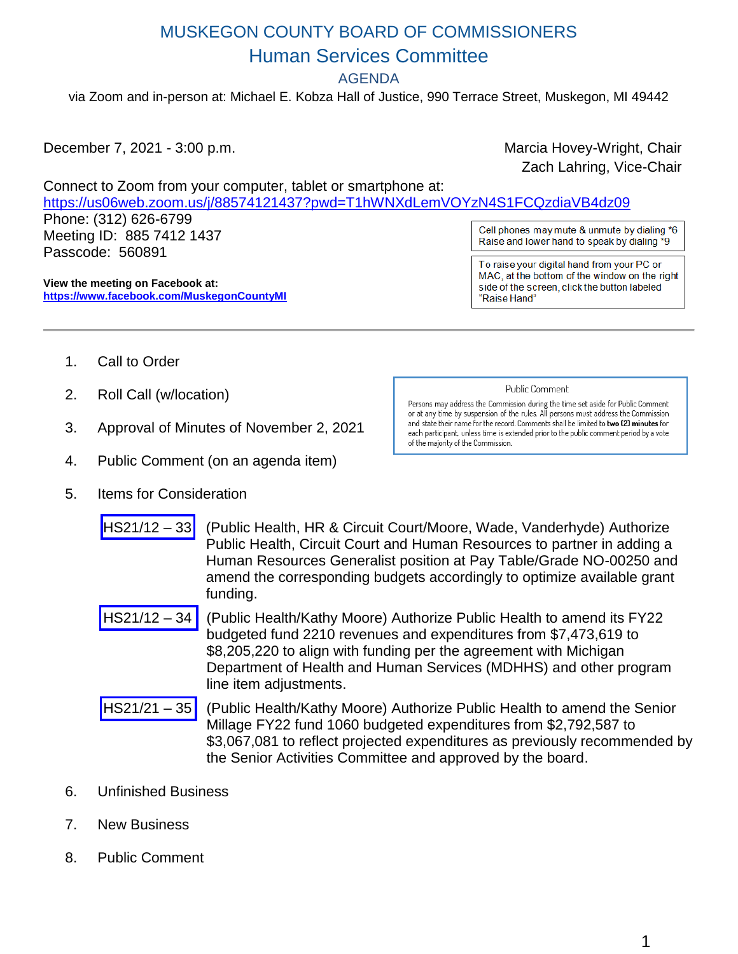### MUSKEGON COUNTY BOARD OF COMMISSIONERS Human Services Committee

AGENDA

via Zoom and in-person at: Michael E. Kobza Hall of Justice, 990 Terrace Street, Muskegon, MI 49442

December 7, 2021 - 3:00 p.m. Marcia Hovey-Wright, Chair

Zach Lahring, Vice-Chair

Connect to Zoom from your computer, tablet or smartphone at: <https://us06web.zoom.us/j/88574121437?pwd=T1hWNXdLemVOYzN4S1FCQzdiaVB4dz09> Phone: (312) 626-6799 Meeting ID: 885 7412 1437 Passcode: 560891

**View the meeting on Facebook at: <https://www.facebook.com/MuskegonCountyMI>**

Cell phones may mute & unmute by dialing \*6 Raise and lower hand to speak by dialing \*9

To raise your digital hand from your PC or MAC, at the bottom of the window on the right side of the screen, click the button labeled "Raise Hand"

- 1. Call to Order
- 2. Roll Call (w/location)
- 3. Approval of Minutes of November 2, 2021
- 4. Public Comment (on an agenda item)
- 5. Items for Consideration

Public Comment

Persons may address the Commission during the time set aside for Public Comment or at any time by suspension of the rules. All persons must address the Commission and state their name for the record. Comments shall be limited to two (2) minutes for each participant, unless time is extended prior to the public comment period by a vote of the majority of the Commission.

- [HS21/12](#page-5-0) 33 (Public Health, HR & Circuit Court/Moore, Wade, Vanderhyde) Authorize Public Health, Circuit Court and Human Resources to partner in adding a Human Resources Generalist position at Pay Table/Grade NO-00250 and amend the corresponding budgets accordingly to optimize available grant funding.
- [HS21/12 –](#page-8-0) 34 (Public Health/Kathy Moore) Authorize Public Health to amend its FY22 budgeted fund 2210 revenues and expenditures from \$7,473,619 to \$8,205,220 to align with funding per the agreement with Michigan Department of Health and Human Services (MDHHS) and other program line item adjustments.
- [HS21/21 –](#page-9-0) 35 (Public Health/Kathy Moore) Authorize Public Health to amend the Senior Millage FY22 fund 1060 budgeted expenditures from \$2,792,587 to \$3,067,081 to reflect projected expenditures as previously recommended by the Senior Activities Committee and approved by the board.
- 6. Unfinished Business
- 7. New Business
- 8. Public Comment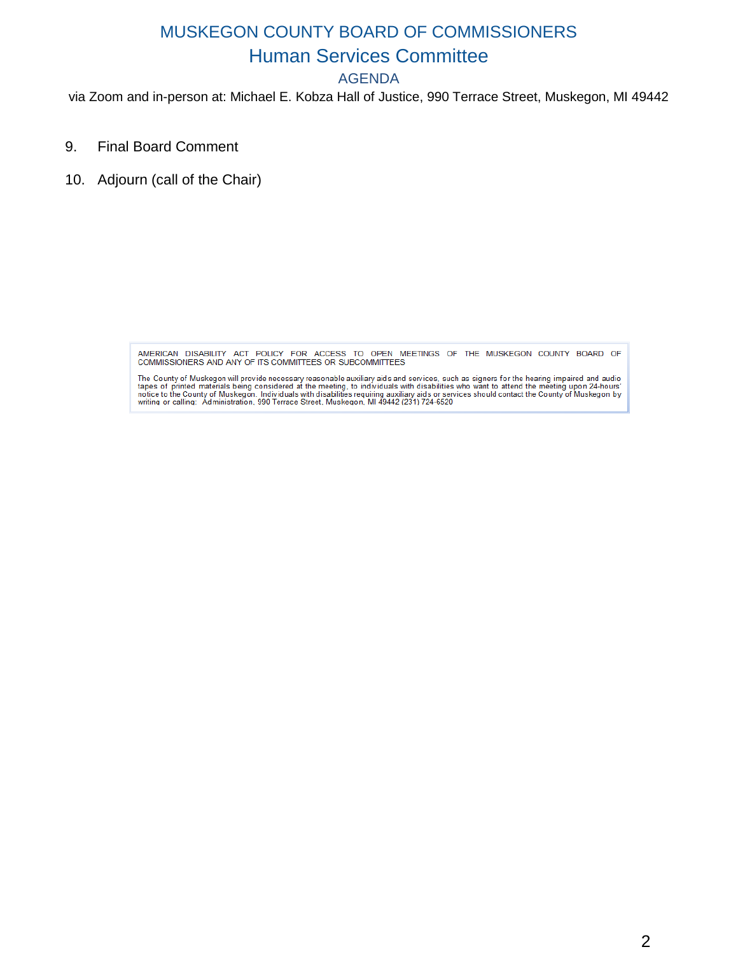### MUSKEGON COUNTY BOARD OF COMMISSIONERS Human Services Committee

### AGENDA

via Zoom and in-person at: Michael E. Kobza Hall of Justice, 990 Terrace Street, Muskegon, MI 49442

- 9. Final Board Comment
- 10. Adjourn (call of the Chair)

AMERICAN DISABILITY ACT POLICY FOR ACCESS TO OPEN MEETINGS OF THE MUSKEGON COUNTY BOARD OF COMMISSIONERS AND ANY OF ITS COMMITTEES OR SUBCOMMITTEES

The County of Muskegon will provide necessary reasonable auxiliary aids and services, such as signers for the hearing impaired and audio<br>tapes of printed materials being considered at the meeting, to individuals with disab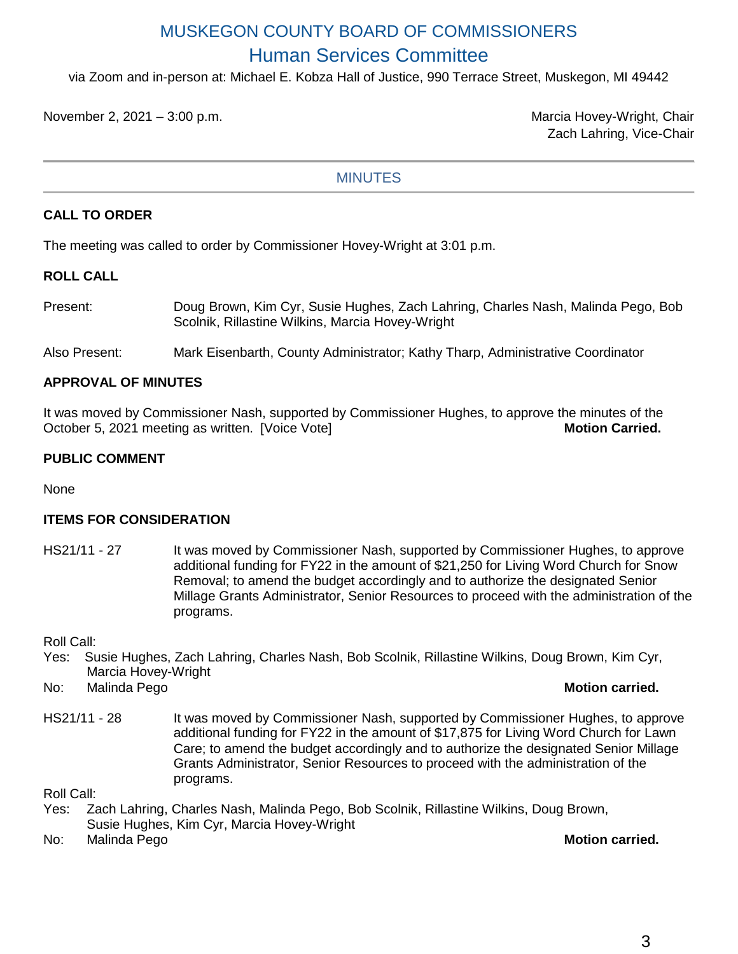### MUSKEGON COUNTY BOARD OF COMMISSIONERS Human Services Committee

via Zoom and in-person at: Michael E. Kobza Hall of Justice, 990 Terrace Street, Muskegon, MI 49442

November 2, 2021 – 3:00 p.m. Marcia Hovey-Wright, Chair

Zach Lahring, Vice-Chair

### **MINUTES**

### **CALL TO ORDER**

The meeting was called to order by Commissioner Hovey-Wright at 3:01 p.m.

### **ROLL CALL**

- Present: Doug Brown, Kim Cyr, Susie Hughes, Zach Lahring, Charles Nash, Malinda Pego, Bob Scolnik, Rillastine Wilkins, Marcia Hovey-Wright
- Also Present: Mark Eisenbarth, County Administrator; Kathy Tharp, Administrative Coordinator

### **APPROVAL OF MINUTES**

It was moved by Commissioner Nash, supported by Commissioner Hughes, to approve the minutes of the October 5, 2021 meeting as written. [Voice Vote] **Motion Carried. Motion Carried.** 

### **PUBLIC COMMENT**

None

### **ITEMS FOR CONSIDERATION**

HS21/11 - 27 It was moved by Commissioner Nash, supported by Commissioner Hughes, to approve additional funding for FY22 in the amount of \$21,250 for Living Word Church for Snow Removal; to amend the budget accordingly and to authorize the designated Senior Millage Grants Administrator, Senior Resources to proceed with the administration of the programs.

Roll Call:

- Yes: Susie Hughes, Zach Lahring, Charles Nash, Bob Scolnik, Rillastine Wilkins, Doug Brown, Kim Cyr, Marcia Hovey-Wright
- No: Malinda Pego **Motion carried.**

HS21/11 - 28 It was moved by Commissioner Nash, supported by Commissioner Hughes, to approve additional funding for FY22 in the amount of \$17,875 for Living Word Church for Lawn Care; to amend the budget accordingly and to authorize the designated Senior Millage Grants Administrator, Senior Resources to proceed with the administration of the programs.

Roll Call:

- Yes: Zach Lahring, Charles Nash, Malinda Pego, Bob Scolnik, Rillastine Wilkins, Doug Brown, Susie Hughes, Kim Cyr, Marcia Hovey-Wright
- No: Malinda Pego **Motion carried.**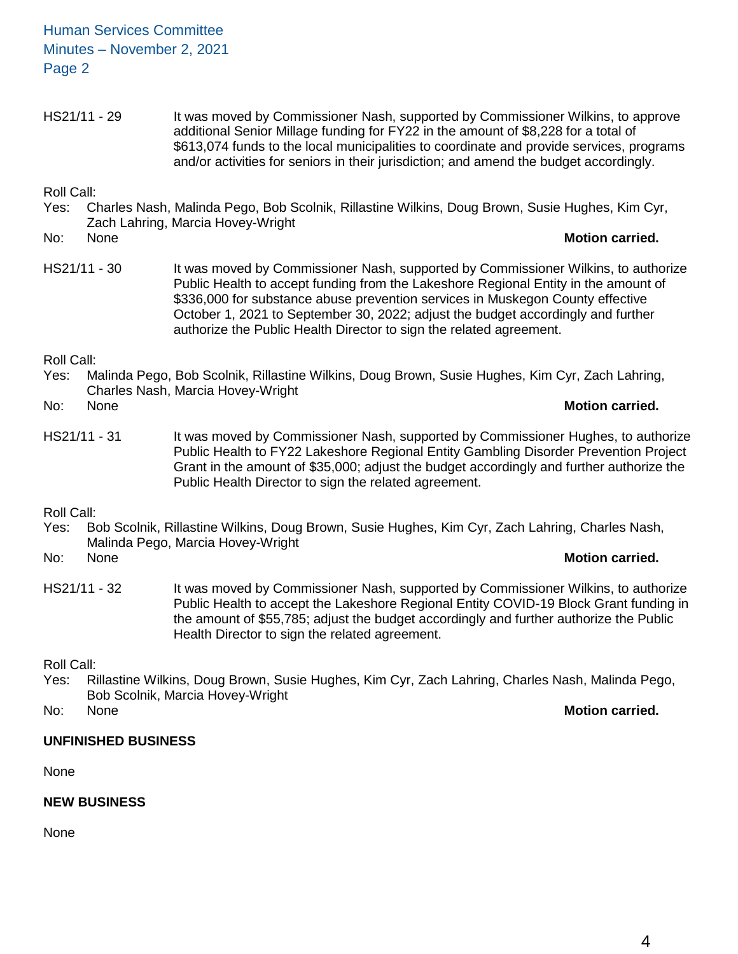Human Services Committee Minutes – November 2, 2021 Page 2

HS21/11 - 29 It was moved by Commissioner Nash, supported by Commissioner Wilkins, to approve additional Senior Millage funding for FY22 in the amount of \$8,228 for a total of \$613,074 funds to the local municipalities to coordinate and provide services, programs and/or activities for seniors in their jurisdiction; and amend the budget accordingly.

Roll Call:

- Yes: Charles Nash, Malinda Pego, Bob Scolnik, Rillastine Wilkins, Doug Brown, Susie Hughes, Kim Cyr, Zach Lahring, Marcia Hovey-Wright
- No: None **Motion carried.**
- HS21/11 30 It was moved by Commissioner Nash, supported by Commissioner Wilkins, to authorize Public Health to accept funding from the Lakeshore Regional Entity in the amount of \$336,000 for substance abuse prevention services in Muskegon County effective October 1, 2021 to September 30, 2022; adjust the budget accordingly and further authorize the Public Health Director to sign the related agreement.

Roll Call:

Yes: Malinda Pego, Bob Scolnik, Rillastine Wilkins, Doug Brown, Susie Hughes, Kim Cyr, Zach Lahring, Charles Nash, Marcia Hovey-Wright

No: None **Motion carried.**

HS21/11 - 31 It was moved by Commissioner Nash, supported by Commissioner Hughes, to authorize Public Health to FY22 Lakeshore Regional Entity Gambling Disorder Prevention Project Grant in the amount of \$35,000; adjust the budget accordingly and further authorize the Public Health Director to sign the related agreement.

Roll Call:

Yes: Bob Scolnik, Rillastine Wilkins, Doug Brown, Susie Hughes, Kim Cyr, Zach Lahring, Charles Nash, Malinda Pego, Marcia Hovey-Wright

No: None **Motion carried.**

HS21/11 - 32 It was moved by Commissioner Nash, supported by Commissioner Wilkins, to authorize Public Health to accept the Lakeshore Regional Entity COVID-19 Block Grant funding in the amount of \$55,785; adjust the budget accordingly and further authorize the Public Health Director to sign the related agreement.

Roll Call:

Yes: Rillastine Wilkins, Doug Brown, Susie Hughes, Kim Cyr, Zach Lahring, Charles Nash, Malinda Pego, Bob Scolnik, Marcia Hovey-Wright

No: None **Motion carried.**

### **UNFINISHED BUSINESS**

None

### **NEW BUSINESS**

None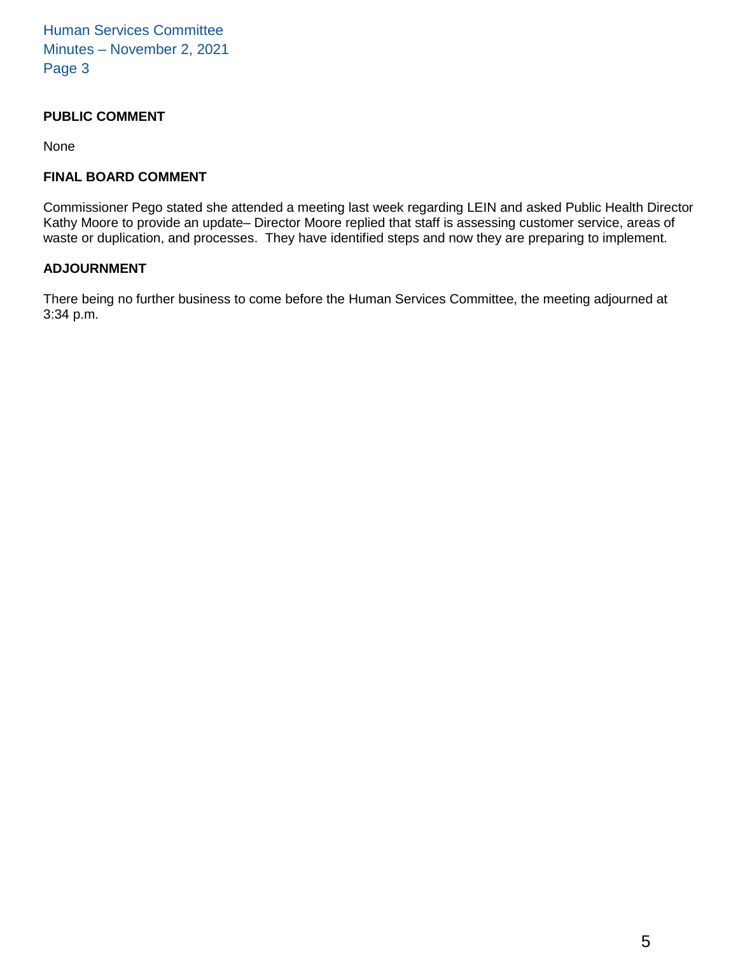Human Services Committee Minutes – November 2, 2021 Page 3

### **PUBLIC COMMENT**

None

### **FINAL BOARD COMMENT**

Commissioner Pego stated she attended a meeting last week regarding LEIN and asked Public Health Director Kathy Moore to provide an update– Director Moore replied that staff is assessing customer service, areas of waste or duplication, and processes. They have identified steps and now they are preparing to implement.

### **ADJOURNMENT**

There being no further business to come before the Human Services Committee, the meeting adjourned at 3:34 p.m.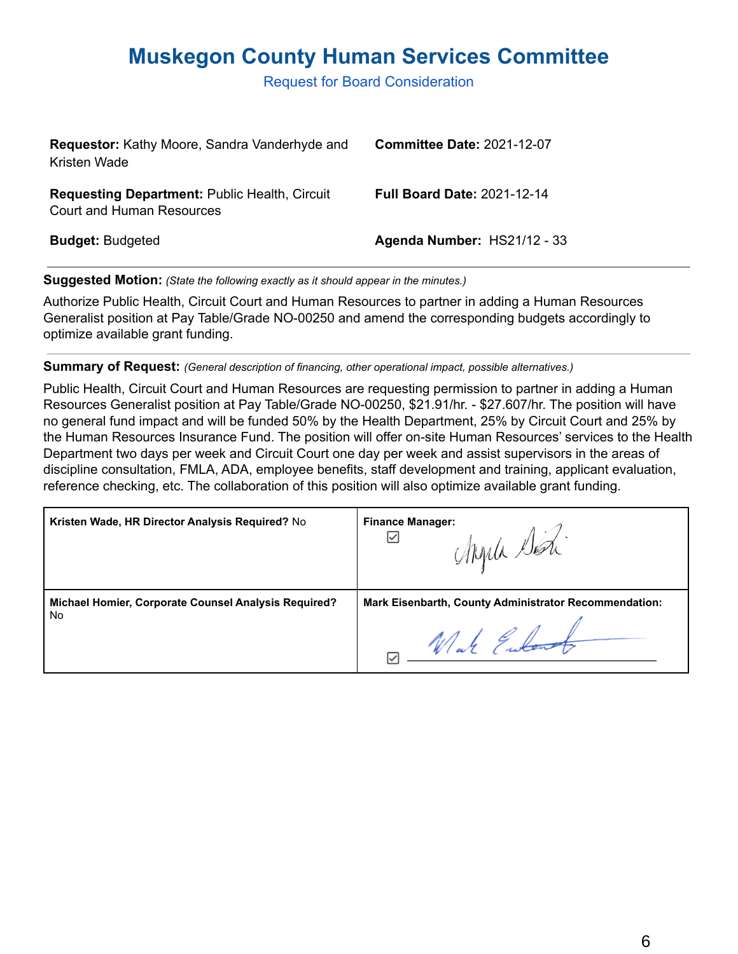## <span id="page-5-0"></span>**Muskegon County Human Services Committee**

Request for Board Consideration

| <b>Requestor:</b> Kathy Moore, Sandra Vanderhyde and<br>Kristen Wade                     | <b>Committee Date: 2021-12-07</b>  |
|------------------------------------------------------------------------------------------|------------------------------------|
| <b>Requesting Department: Public Health, Circuit</b><br><b>Court and Human Resources</b> | <b>Full Board Date: 2021-12-14</b> |
| <b>Budget: Budgeted</b>                                                                  | Agenda Number: HS21/12 - 33        |

**Suggested Motion:** *(State the following exactly as it should appear in the minutes.)*

Authorize Public Health, Circuit Court and Human Resources to partner in adding a Human Resources Generalist position at Pay Table/Grade NO-00250 and amend the corresponding budgets accordingly to optimize available grant funding.

**Summary of Request:** *(General description of financing, other operational impact, possible alternatives.)*

Public Health, Circuit Court and Human Resources are requesting permission to partner in adding a Human Resources Generalist position at Pay Table/Grade NO-00250, \$21.91/hr. - \$27.607/hr. The position will have no general fund impact and will be funded 50% by the Health Department, 25% by Circuit Court and 25% by the Human Resources Insurance Fund. The position will offer on-site Human Resources' services to the Health Department two days per week and Circuit Court one day per week and assist supervisors in the areas of discipline consultation, FMLA, ADA, employee benefits, staff development and training, applicant evaluation, reference checking, etc. The collaboration of this position will also optimize available grant funding.

| Kristen Wade, HR Director Analysis Required? No      | <b>Finance Manager:</b><br>9 Apple Sin                |
|------------------------------------------------------|-------------------------------------------------------|
| Michael Homier, Corporate Counsel Analysis Required? | Mark Eisenbarth, County Administrator Recommendation: |
| No.                                                  | 1 Mak Euland                                          |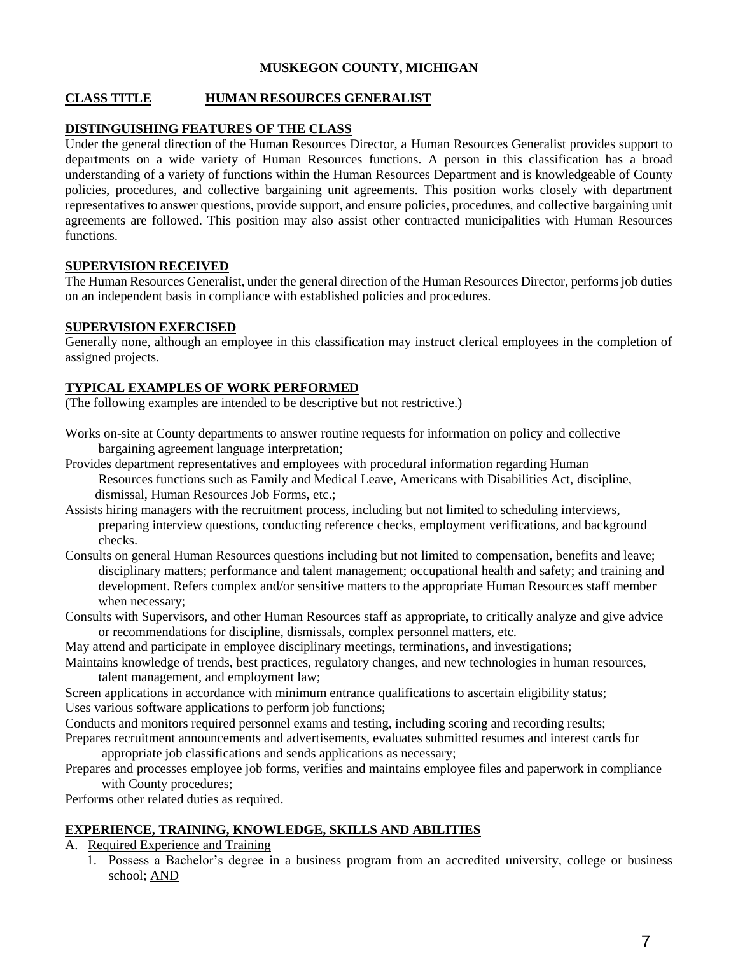### **MUSKEGON COUNTY, MICHIGAN**

### **CLASS TITLE HUMAN RESOURCES GENERALIST**

### **DISTINGUISHING FEATURES OF THE CLASS**

Under the general direction of the Human Resources Director, a Human Resources Generalist provides support to departments on a wide variety of Human Resources functions. A person in this classification has a broad understanding of a variety of functions within the Human Resources Department and is knowledgeable of County policies, procedures, and collective bargaining unit agreements. This position works closely with department representatives to answer questions, provide support, and ensure policies, procedures, and collective bargaining unit agreements are followed. This position may also assist other contracted municipalities with Human Resources functions.

### **SUPERVISION RECEIVED**

The Human Resources Generalist, under the general direction of the Human Resources Director, performs job duties on an independent basis in compliance with established policies and procedures.

### **SUPERVISION EXERCISED**

Generally none, although an employee in this classification may instruct clerical employees in the completion of assigned projects.

### **TYPICAL EXAMPLES OF WORK PERFORMED**

(The following examples are intended to be descriptive but not restrictive.)

- Works on-site at County departments to answer routine requests for information on policy and collective bargaining agreement language interpretation;
- Provides department representatives and employees with procedural information regarding Human Resources functions such as Family and Medical Leave, Americans with Disabilities Act, discipline, dismissal, Human Resources Job Forms, etc.;
- Assists hiring managers with the recruitment process, including but not limited to scheduling interviews, preparing interview questions, conducting reference checks, employment verifications, and background checks.
- Consults on general Human Resources questions including but not limited to compensation, benefits and leave; disciplinary matters; performance and talent management; occupational health and safety; and training and development. Refers complex and/or sensitive matters to the appropriate Human Resources staff member when necessary;
- Consults with Supervisors, and other Human Resources staff as appropriate, to critically analyze and give advice or recommendations for discipline, dismissals, complex personnel matters, etc.

May attend and participate in employee disciplinary meetings, terminations, and investigations;

- Maintains knowledge of trends, best practices, regulatory changes, and new technologies in human resources, talent management, and employment law;
- Screen applications in accordance with minimum entrance qualifications to ascertain eligibility status; Uses various software applications to perform job functions;
- Conducts and monitors required personnel exams and testing, including scoring and recording results;
- Prepares recruitment announcements and advertisements, evaluates submitted resumes and interest cards for appropriate job classifications and sends applications as necessary;
- Prepares and processes employee job forms, verifies and maintains employee files and paperwork in compliance with County procedures;

Performs other related duties as required.

### **EXPERIENCE, TRAINING, KNOWLEDGE, SKILLS AND ABILITIES**

- A. Required Experience and Training
	- 1. Possess a Bachelor's degree in a business program from an accredited university, college or business school; AND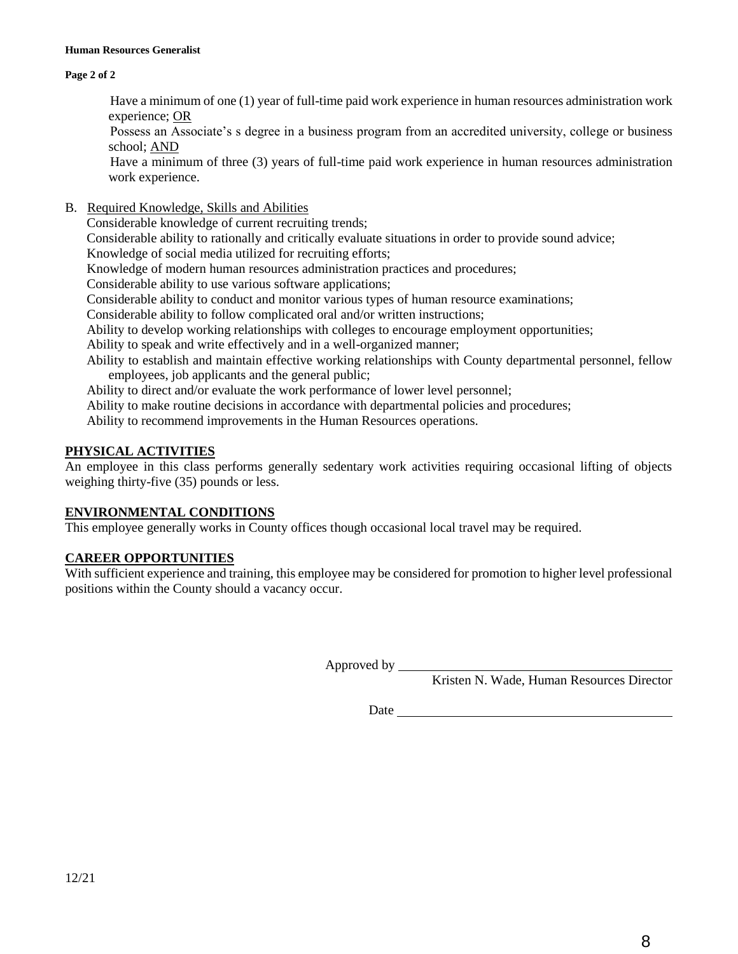#### **Human Resources Generalist**

**Page 2 of 2**

 Have a minimum of one (1) year of full-time paid work experience in human resources administration work experience; OR

 Possess an Associate's s degree in a business program from an accredited university, college or business school; AND

 Have a minimum of three (3) years of full-time paid work experience in human resources administration work experience.

B. Required Knowledge, Skills and Abilities

Considerable knowledge of current recruiting trends;

Considerable ability to rationally and critically evaluate situations in order to provide sound advice;

Knowledge of social media utilized for recruiting efforts;

Knowledge of modern human resources administration practices and procedures;

Considerable ability to use various software applications;

Considerable ability to conduct and monitor various types of human resource examinations;

Considerable ability to follow complicated oral and/or written instructions;

Ability to develop working relationships with colleges to encourage employment opportunities;

Ability to speak and write effectively and in a well-organized manner;

Ability to establish and maintain effective working relationships with County departmental personnel, fellow employees, job applicants and the general public;

Ability to direct and/or evaluate the work performance of lower level personnel;

Ability to make routine decisions in accordance with departmental policies and procedures;

Ability to recommend improvements in the Human Resources operations.

### **PHYSICAL ACTIVITIES**

An employee in this class performs generally sedentary work activities requiring occasional lifting of objects weighing thirty-five (35) pounds or less.

### **ENVIRONMENTAL CONDITIONS**

This employee generally works in County offices though occasional local travel may be required.

### **CAREER OPPORTUNITIES**

With sufficient experience and training, this employee may be considered for promotion to higher level professional positions within the County should a vacancy occur.

Approved by <u>subsequently</u>

Kristen N. Wade, Human Resources Director

Date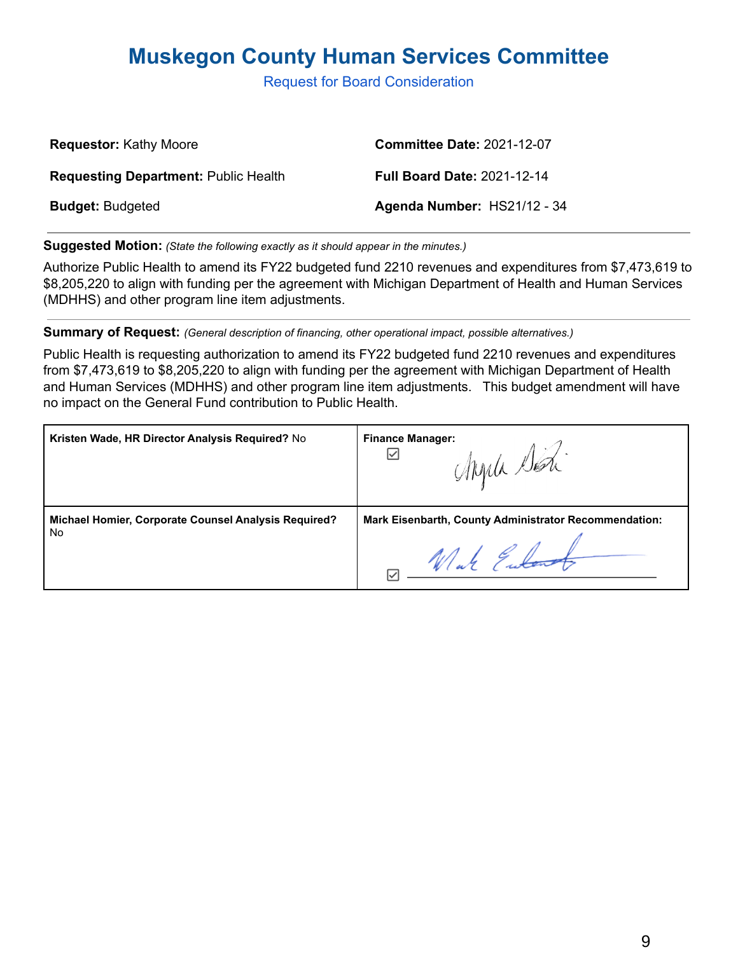# <span id="page-8-0"></span>**Muskegon County Human Services Committee**

Request for Board Consideration

| <b>Requestor: Kathy Moore</b>               | <b>Committee Date: 2021-12-07</b>  |
|---------------------------------------------|------------------------------------|
| <b>Requesting Department: Public Health</b> | <b>Full Board Date: 2021-12-14</b> |
| <b>Budget: Budgeted</b>                     | Agenda Number: HS21/12 - 34        |

**Suggested Motion:** *(State the following exactly as it should appear in the minutes.)*

Authorize Public Health to amend its FY22 budgeted fund 2210 revenues and expenditures from \$7,473,619 to \$8,205,220 to align with funding per the agreement with Michigan Department of Health and Human Services (MDHHS) and other program line item adjustments.

**Summary of Request:** *(General description of financing, other operational impact, possible alternatives.)*

Public Health is requesting authorization to amend its FY22 budgeted fund 2210 revenues and expenditures from \$7,473,619 to \$8,205,220 to align with funding per the agreement with Michigan Department of Health and Human Services (MDHHS) and other program line item adjustments. This budget amendment will have no impact on the General Fund contribution to Public Health.

| Kristen Wade, HR Director Analysis Required? No      | <b>Finance Manager:</b><br>Apple Son                         |
|------------------------------------------------------|--------------------------------------------------------------|
| Michael Homier, Corporate Counsel Analysis Required? | <b>Mark Eisenbarth, County Administrator Recommendation:</b> |
| No                                                   | 9 What Entend                                                |